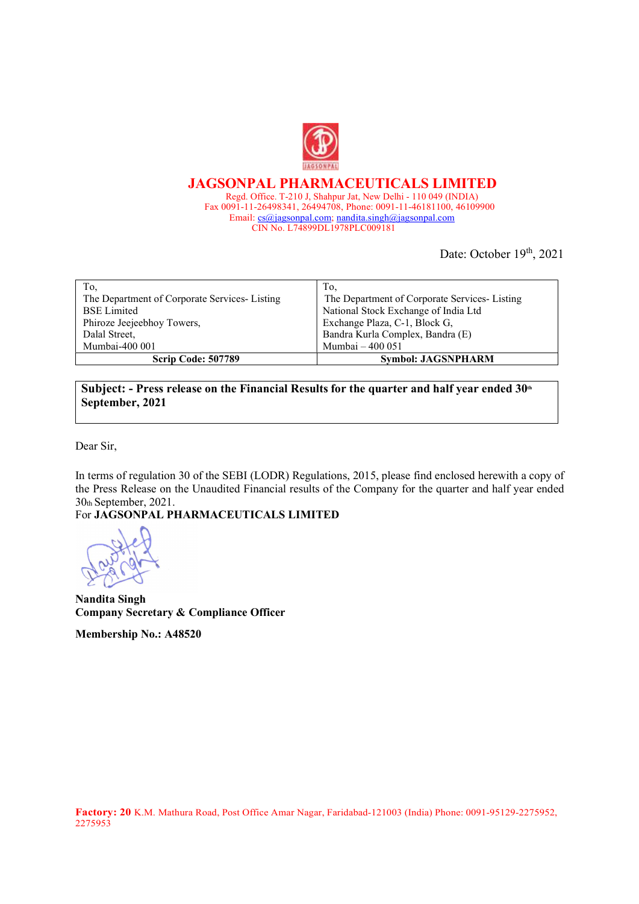

JAGSONPAL PHARMACEUTICALS LIMITED Regd. Office. T-210 J, Shahpur Jat, New Delhi - 110 049 (INDIA) Fax 0091-11-26498341, 26494708, Phone: 0091-11-46181100, 46109900 Email: cs@jagsonpal.com; nandita.singh@jagsonpal.com CIN No. L74899DL1978PLC009181

Date: October 19th, 2021

| To,                                          | 10.                                          |
|----------------------------------------------|----------------------------------------------|
| The Department of Corporate Services-Listing | The Department of Corporate Services-Listing |
| <b>BSE</b> Limited                           | National Stock Exchange of India Ltd         |
| Phiroze Jeejeebhoy Towers,                   | Exchange Plaza, C-1, Block G,                |
| Dalal Street,                                | Bandra Kurla Complex, Bandra (E)             |
| Mumbai-400 001                               | Mumbai – 400 051                             |
| Scrip Code: 507789                           | <b>Symbol: JAGSNPHARM</b>                    |

Subject: - Press release on the Financial Results for the quarter and half year ended  $30<sup>th</sup>$ September, 2021

Dear Sir,

In terms of regulation 30 of the SEBI (LODR) Regulations, 2015, please find enclosed herewith a copy of the Press Release on the Unaudited Financial results of the Company for the quarter and half year ended 30th September, 2021.

For JAGSONPAL PHARMACEUTICALS LIMITED

Nandita Singh Company Secretary & Compliance Officer

Membership No.: A48520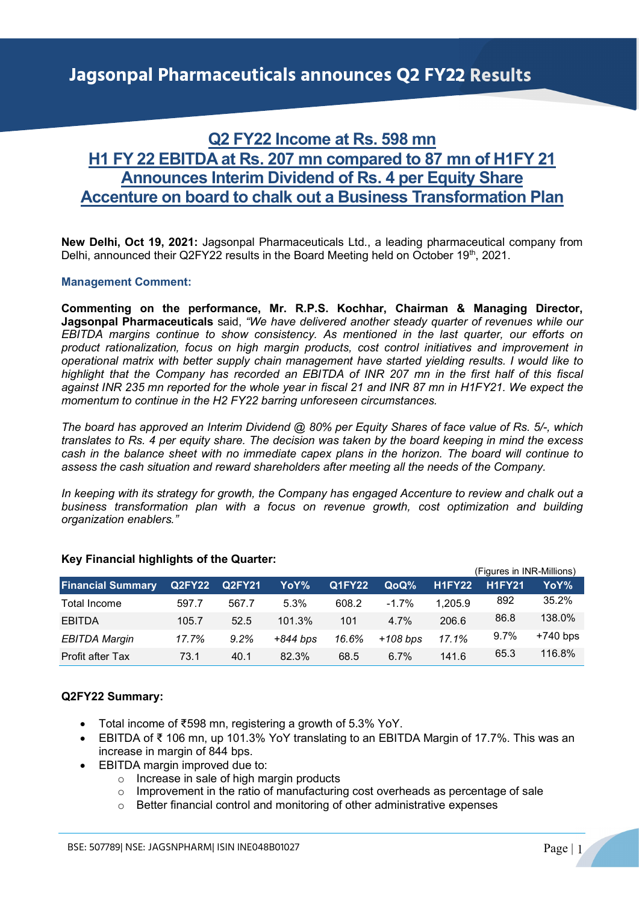# Q2 FY22 Income at Rs. 598 mn H1 FY 22 EBITDA at Rs. 207 mn compared to 87 mn of H1FY 21 Announces Interim Dividend of Rs. 4 per Equity Share Accenture on board to chalk out a Business Transformation Plan

New Delhi, Oct 19, 2021: Jagsonpal Pharmaceuticals Ltd., a leading pharmaceutical company from Delhi, announced their Q2FY22 results in the Board Meeting held on October 19th, 2021.

## Management Comment:

Commenting on the performance, Mr. R.P.S. Kochhar, Chairman & Managing Director, Jagsonpal Pharmaceuticals said, "We have delivered another steady quarter of revenues while our EBITDA margins continue to show consistency. As mentioned in the last quarter, our efforts on product rationalization, focus on high margin products, cost control initiatives and improvement in operational matrix with better supply chain management have started yielding results. I would like to highlight that the Company has recorded an EBITDA of INR 207 mn in the first half of this fiscal against INR 235 mn reported for the whole year in fiscal 21 and INR 87 mn in H1FY21. We expect the momentum to continue in the H2 FY22 barring unforeseen circumstances.

The board has approved an Interim Dividend @ 80% per Equity Shares of face value of Rs. 5/-, which translates to Rs. 4 per equity share. The decision was taken by the board keeping in mind the excess cash in the balance sheet with no immediate capex plans in the horizon. The board will continue to assess the cash situation and reward shareholders after meeting all the needs of the Company.

In keeping with its strategy for growth, the Company has engaged Accenture to review and chalk out a business transformation plan with a focus on revenue growth, cost optimization and building organization enablers."

|                          |               |         |            |               | (Figures in INR-Millions) |               |               |            |  |
|--------------------------|---------------|---------|------------|---------------|---------------------------|---------------|---------------|------------|--|
| <b>Financial Summary</b> | Q2FY22 Q2FY21 |         | YoY%       | <b>Q1FY22</b> | <b>QoQ%</b>               | <b>H1FY22</b> | <b>H1FY21</b> | YoY% ·     |  |
| Total Income             | 597.7         | 567.7   | 5.3%       | 608.2         | $-1.7\%$                  | 1,205.9       | 892           | 35.2%      |  |
| <b>EBITDA</b>            | 105.7         | 52.5    | 101.3%     | 101           | 4.7%                      | 206.6         | 86.8          | 138.0%     |  |
| <b>EBITDA Margin</b>     | 17.7%         | $9.2\%$ | $+844$ bps | 16.6%         | +108 bps                  | 17.1%         | $9.7\%$       | $+740$ bps |  |
| Profit after Tax         | 73.1          | 40.1    | 82.3%      | 68.5          | $6.7\%$                   | 141.6         | 65.3          | 116.8%     |  |

#### Key Financial highlights of the Quarter:

# Q2FY22 Summary:

- Total income of ₹598 mn, registering a growth of 5.3% YoY.
- EBITDA of ₹ 106 mn, up 101.3% YoY translating to an EBITDA Margin of 17.7%. This was an increase in margin of 844 bps.
- EBITDA margin improved due to:
	- o Increase in sale of high margin products
	- $\circ$  Improvement in the ratio of manufacturing cost overheads as percentage of sale
	- o Better financial control and monitoring of other administrative expenses